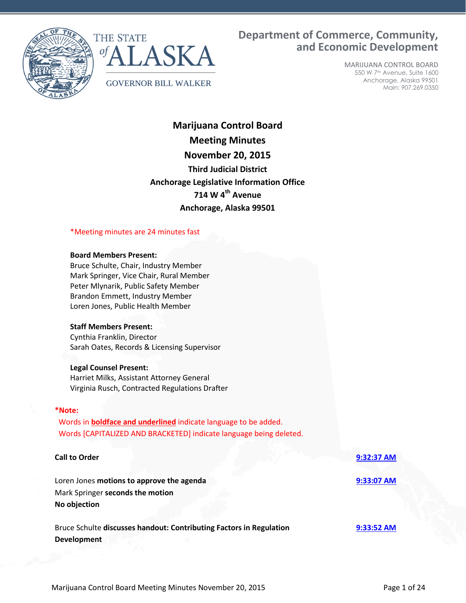



# **Department of Commerce, Community, and Economic Development**

MARIJUANA CONTROL BOARD 550 W 7th Avenue, Suite 1600 Anchorage, Alaska 99501 Main: 907.269.0350

**Marijuana Control Board Meeting Minutes November 20, 2015 Third Judicial District Anchorage Legislative Information Office 714 W 4th Avenue Anchorage, Alaska 99501**

#### \*Meeting minutes are 24 minutes fast

#### **Board Members Present:**

Bruce Schulte, Chair, Industry Member Mark Springer, Vice Chair, Rural Member Peter Mlynarik, Public Safety Member Brandon Emmett, Industry Member Loren Jones, Public Health Member

#### **Staff Members Present:**

Cynthia Franklin, Director Sarah Oates, Records & Licensing Supervisor

#### **Legal Counsel Present:**

Harriet Milks, Assistant Attorney General Virginia Rusch, Contracted Regulations Drafter

#### **\*Note:**

Words in **boldface and underlined** indicate language to be added. Words [CAPITALIZED AND BRACKETED] indicate language being deleted.

# **Call to Order [9:32:37 AM](ftr://?location="ABC Board"?date="20-Nov-2015"?position="09:32:37"?Data="c0d3ca9e")** Loren Jones **motions to approve the agenda [9:33:07 AM](ftr://?location="ABC Board"?date="20-Nov-2015"?position="09:33:07"?Data="a985d30e")** Mark Springer **seconds the motion No objection** Bruce Schulte **discusses handout: Contributing Factors in Regulation [9:33:52 AM](ftr://?location="ABC Board"?date="20-Nov-2015"?position="09:33:52"?Data="ce96b28f") Development**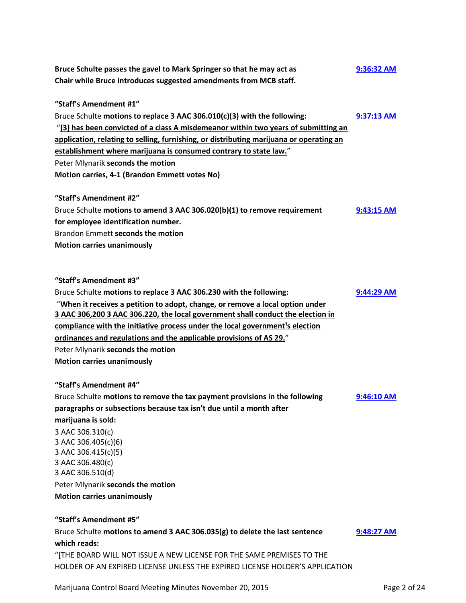| Bruce Schulte passes the gavel to Mark Springer so that he may act as<br>9:36:32 AM                                                                          |            |                                   |
|--------------------------------------------------------------------------------------------------------------------------------------------------------------|------------|-----------------------------------|
| Chair while Bruce introduces suggested amendments from MCB staff.                                                                                            |            |                                   |
| "Staff's Amendment #1"                                                                                                                                       |            |                                   |
| Bruce Schulte motions to replace 3 AAC 306.010(c)(3) with the following:                                                                                     | 9:37:13 AM |                                   |
| "(3) has been convicted of a class A misdemeanor within two years of submitting an                                                                           |            |                                   |
| application, relating to selling, furnishing, or distributing marijuana or operating an<br>establishment where marijuana is consumed contrary to state law." |            |                                   |
|                                                                                                                                                              |            | Peter Mlynarik seconds the motion |
| Motion carries, 4-1 (Brandon Emmett votes No)                                                                                                                |            |                                   |
| "Staff's Amendment #2"                                                                                                                                       |            |                                   |
| Bruce Schulte motions to amend 3 AAC 306.020(b)(1) to remove requirement                                                                                     | 9:43:15 AM |                                   |
| for employee identification number.                                                                                                                          |            |                                   |
| Brandon Emmett seconds the motion                                                                                                                            |            |                                   |
| <b>Motion carries unanimously</b>                                                                                                                            |            |                                   |
| "Staff's Amendment #3"                                                                                                                                       |            |                                   |
| Bruce Schulte motions to replace 3 AAC 306.230 with the following:                                                                                           | 9:44:29 AM |                                   |
| "When it receives a petition to adopt, change, or remove a local option under                                                                                |            |                                   |
| 3 AAC 306,200 3 AAC 306.220, the local government shall conduct the election in                                                                              |            |                                   |
| compliance with the initiative process under the local government <sup>1</sup> s election                                                                    |            |                                   |
| ordinances and regulations and the applicable provisions of AS 29."                                                                                          |            |                                   |
| Peter Mlynarik seconds the motion                                                                                                                            |            |                                   |
| <b>Motion carries unanimously</b>                                                                                                                            |            |                                   |
|                                                                                                                                                              |            |                                   |
| "Staff's Amendment #4"                                                                                                                                       |            |                                   |
| Bruce Schulte motions to remove the tax payment provisions in the following                                                                                  | 9:46:10 AM |                                   |
| paragraphs or subsections because tax isn't due until a month after                                                                                          |            |                                   |
| marijuana is sold:                                                                                                                                           |            |                                   |
| 3 AAC 306.310(c)                                                                                                                                             |            |                                   |
| 3 AAC 306.405(c)(6)                                                                                                                                          |            |                                   |
| 3 AAC 306.415(c)(5)                                                                                                                                          |            |                                   |
| 3 AAC 306.480(c)                                                                                                                                             |            |                                   |
| 3 AAC 306.510(d)                                                                                                                                             |            |                                   |
| Peter Mlynarik seconds the motion                                                                                                                            |            |                                   |
| <b>Motion carries unanimously</b>                                                                                                                            |            |                                   |
| "Staff's Amendment #5"                                                                                                                                       |            |                                   |
| Bruce Schulte motions to amend 3 AAC 306.035(g) to delete the last sentence                                                                                  | 9:48:27 AM |                                   |
| which reads:                                                                                                                                                 |            |                                   |
| "[THE BOARD WILL NOT ISSUE A NEW LICENSE FOR THE SAME PREMISES TO THE                                                                                        |            |                                   |
| HOLDER OF AN EXPIRED LICENSE UNLESS THE EXPIRED LICENSE HOLDER'S APPLICATION                                                                                 |            |                                   |

Marijuana Control Board Meeting Minutes November 20, 2015 **Page 2 of 24** Page 2 of 24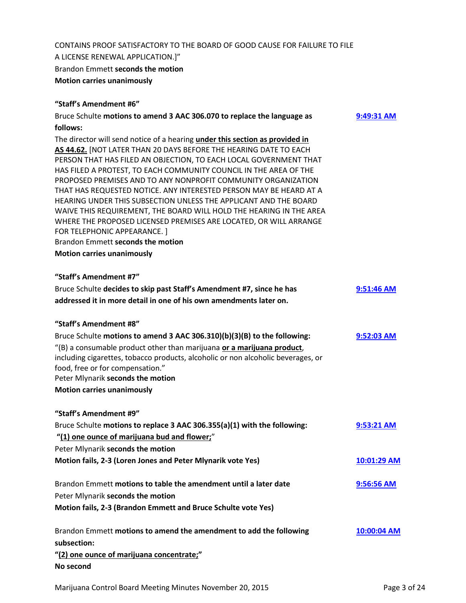# CONTAINS PROOF SATISFACTORY TO THE BOARD OF GOOD CAUSE FOR FAILURE TO FILE A LICENSE RENEWAL APPLICATION.]" Brandon Emmett **seconds the motion Motion carries unanimously**

# **"Staff's Amendment #6"**

| Bruce Schulte motions to amend 3 AAC 306.070 to replace the language as                                                                                                                                                                                                                                                                                                                                                                                                                                                                                                                                                                                                                                                 | 9:49:31 AM   |
|-------------------------------------------------------------------------------------------------------------------------------------------------------------------------------------------------------------------------------------------------------------------------------------------------------------------------------------------------------------------------------------------------------------------------------------------------------------------------------------------------------------------------------------------------------------------------------------------------------------------------------------------------------------------------------------------------------------------------|--------------|
| follows:                                                                                                                                                                                                                                                                                                                                                                                                                                                                                                                                                                                                                                                                                                                |              |
| The director will send notice of a hearing under this section as provided in<br>AS 44.62. [NOT LATER THAN 20 DAYS BEFORE THE HEARING DATE TO EACH<br>PERSON THAT HAS FILED AN OBJECTION, TO EACH LOCAL GOVERNMENT THAT<br>HAS FILED A PROTEST, TO EACH COMMUNITY COUNCIL IN THE AREA OF THE<br>PROPOSED PREMISES AND TO ANY NONPROFIT COMMUNITY ORGANIZATION<br>THAT HAS REQUESTED NOTICE. ANY INTERESTED PERSON MAY BE HEARD AT A<br>HEARING UNDER THIS SUBSECTION UNLESS THE APPLICANT AND THE BOARD<br>WAIVE THIS REQUIREMENT, THE BOARD WILL HOLD THE HEARING IN THE AREA<br>WHERE THE PROPOSED LICENSED PREMISES ARE LOCATED, OR WILL ARRANGE<br>FOR TELEPHONIC APPEARANCE. ]<br>Brandon Emmett seconds the motion |              |
| <b>Motion carries unanimously</b>                                                                                                                                                                                                                                                                                                                                                                                                                                                                                                                                                                                                                                                                                       |              |
| "Staff's Amendment #7"                                                                                                                                                                                                                                                                                                                                                                                                                                                                                                                                                                                                                                                                                                  |              |
| Bruce Schulte decides to skip past Staff's Amendment #7, since he has                                                                                                                                                                                                                                                                                                                                                                                                                                                                                                                                                                                                                                                   | $9:51:46$ AM |
| addressed it in more detail in one of his own amendments later on.                                                                                                                                                                                                                                                                                                                                                                                                                                                                                                                                                                                                                                                      |              |
| "Staff's Amendment #8"                                                                                                                                                                                                                                                                                                                                                                                                                                                                                                                                                                                                                                                                                                  |              |
| Bruce Schulte motions to amend 3 AAC 306.310)(b)(3)(B) to the following:                                                                                                                                                                                                                                                                                                                                                                                                                                                                                                                                                                                                                                                | 9:52:03 AM   |
| "(B) a consumable product other than marijuana or a marijuana product,<br>including cigarettes, tobacco products, alcoholic or non alcoholic beverages, or<br>food, free or for compensation."<br>Peter Mlynarik seconds the motion                                                                                                                                                                                                                                                                                                                                                                                                                                                                                     |              |
| <b>Motion carries unanimously</b>                                                                                                                                                                                                                                                                                                                                                                                                                                                                                                                                                                                                                                                                                       |              |
| "Staff's Amendment #9"                                                                                                                                                                                                                                                                                                                                                                                                                                                                                                                                                                                                                                                                                                  |              |
| Bruce Schulte motions to replace 3 AAC 306.355(a)(1) with the following:<br>"(1) one ounce of marijuana bud and flower;"<br>Peter Mlynarik seconds the motion                                                                                                                                                                                                                                                                                                                                                                                                                                                                                                                                                           | 9:53:21 AM   |
| Motion fails, 2-3 (Loren Jones and Peter Mlynarik vote Yes)                                                                                                                                                                                                                                                                                                                                                                                                                                                                                                                                                                                                                                                             | 10:01:29 AM  |
| Brandon Emmett motions to table the amendment until a later date                                                                                                                                                                                                                                                                                                                                                                                                                                                                                                                                                                                                                                                        | 9:56:56 AM   |
| Peter Mlynarik seconds the motion                                                                                                                                                                                                                                                                                                                                                                                                                                                                                                                                                                                                                                                                                       |              |
| Motion fails, 2-3 (Brandon Emmett and Bruce Schulte vote Yes)                                                                                                                                                                                                                                                                                                                                                                                                                                                                                                                                                                                                                                                           |              |
| Brandon Emmett motions to amend the amendment to add the following                                                                                                                                                                                                                                                                                                                                                                                                                                                                                                                                                                                                                                                      | 10:00:04 AM  |
| subsection:                                                                                                                                                                                                                                                                                                                                                                                                                                                                                                                                                                                                                                                                                                             |              |
| "(2) one ounce of marijuana concentrate;"<br>No second                                                                                                                                                                                                                                                                                                                                                                                                                                                                                                                                                                                                                                                                  |              |
|                                                                                                                                                                                                                                                                                                                                                                                                                                                                                                                                                                                                                                                                                                                         |              |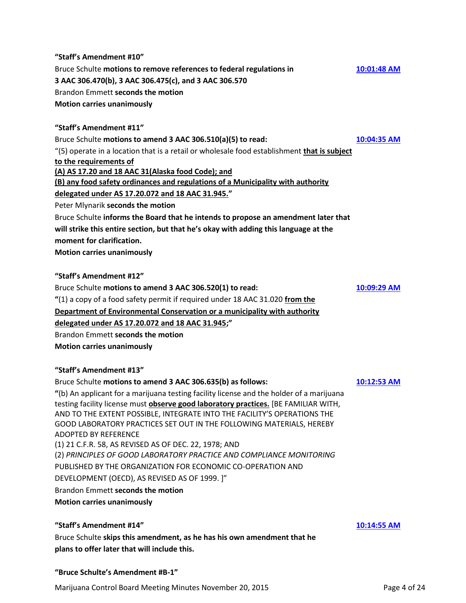**"Staff's Amendment #10"** Bruce Schulte **motions to remove references to federal regulations in [10:01:48 AM](ftr://?location="ABC Board"?date="20-Nov-2015"?position="10:01:48"?Data="2b353bbc") 3 AAC 306.470(b), 3 AAC 306.475(c), and 3 AAC 306.570** Brandon Emmett **seconds the motion Motion carries unanimously**

#### **"Staff's Amendment #11"**

#### Bruce Schulte **motions to amend 3 AAC 306.510(a)(5) to read: [10:04:35 AM](ftr://?location="ABC Board"?date="20-Nov-2015"?position="10:04:35"?Data="2273189d")**

"(5) operate in a location that is a retail or wholesale food establishment **that is subject to the requirements of** 

**(A) AS 17.20 and 18 AAC 31(Alaska food Code); and** 

**(B) any food safety ordinances and regulations of a Municipality with authority** 

#### **delegated under AS 17.20.072 and 18 AAC 31.945."**

Peter Mlynarik **seconds the motion**

Bruce Schulte **informs the Board that he intends to propose an amendment later that** 

**will strike this entire section, but that he's okay with adding this language at the moment for clarification.**

**Motion carries unanimously**

**"Staff's Amendment #12"**

Bruce Schulte **motions to amend 3 AAC 306.520(1) to read: [10:09:29 AM](ftr://?location="ABC Board"?date="20-Nov-2015"?position="10:09:29"?Data="5607ff30")**

**"**(1) a copy of a food safety permit if required under 18 AAC 31.020 **from the** 

**Department of Environmental Conservation or a municipality with authority** 

**delegated under AS 17.20.072 and 18 AAC 31.945;"**

Brandon Emmett **seconds the motion Motion carries unanimously**

#### **"Staff's Amendment #13"**

#### Bruce Schulte **motions to amend 3 AAC 306.635(b) as follows: [10:12:53 AM](ftr://?location="ABC Board"?date="20-Nov-2015"?position="10:12:53"?Data="47fa9874")**

**"**(b) An applicant for a marijuana testing facility license and the holder of a marijuana testing facility license must **observe good laboratory practices.** [BE FAMILIAR WITH, AND TO THE EXTENT POSSIBLE, INTEGRATE INTO THE FACILITY'S OPERATIONS THE GOOD LABORATORY PRACTICES SET OUT IN THE FOLLOWING MATERIALS, HEREBY ADOPTED BY REFERENCE (1) 21 C.F.R. 58, AS REVISED AS OF DEC. 22, 1978; AND (2) *PRINCIPLES OF GOOD LABORATORY PRACTICE AND COMPLIANCE MONITORING*  PUBLISHED BY THE ORGANIZATION FOR ECONOMIC CO-OPERATION AND

DEVELOPMENT (OECD), AS REVISED AS OF 1999. ]"

Brandon Emmett **seconds the motion**

**"Bruce Schulte's Amendment #B-1"**

**Motion carries unanimously**

#### **"Staff's Amendment #14" [10:14:55 AM](ftr://?location="ABC Board"?date="20-Nov-2015"?position="10:15:25"?Data="9d48ec69")**

Bruce Schulte **skips this amendment, as he has his own amendment that he plans to offer later that will include this.**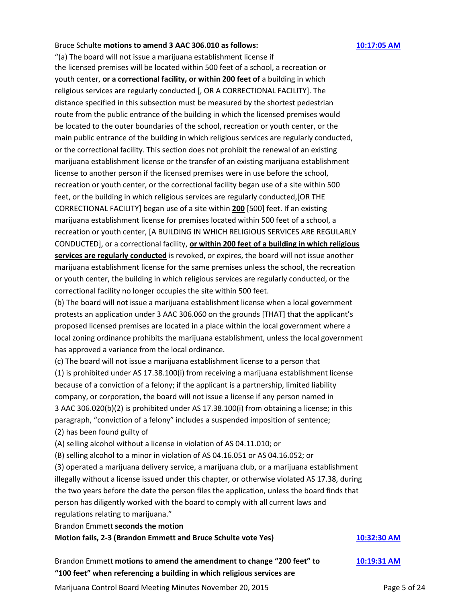#### Bruce Schulte **motions to amend 3 AAC 306.010 as follows: [10:17:05 AM](ftr://?location="ABC Board"?date="20-Nov-2015"?position="10:15:25"?Data="9d48ec69")**

"(a) The board will not issue a marijuana establishment license if the licensed premises will be located within 500 feet of a school, a recreation or youth center, **or a correctional facility, or within 200 feet of** a building in which religious services are regularly conducted [, OR A CORRECTIONAL FACILITY]. The distance specified in this subsection must be measured by the shortest pedestrian route from the public entrance of the building in which the licensed premises would be located to the outer boundaries of the school, recreation or youth center, or the main public entrance of the building in which religious services are regularly conducted, or the correctional facility. This section does not prohibit the renewal of an existing marijuana establishment license or the transfer of an existing marijuana establishment license to another person if the licensed premises were in use before the school, recreation or youth center, or the correctional facility began use of a site within 500 feet, or the building in which religious services are regularly conducted,[OR THE CORRECTIONAL FACILITY] began use of a site within **200** [500] feet. If an existing marijuana establishment license for premises located within 500 feet of a school, a recreation or youth center, [A BUILDING IN WHICH RELIGIOUS SERVICES ARE REGULARLY CONDUCTED], or a correctional facility, **or within 200 feet of a building in which religious services are regularly conducted** is revoked, or expires, the board will not issue another marijuana establishment license for the same premises unless the school, the recreation or youth center, the building in which religious services are regularly conducted, or the correctional facility no longer occupies the site within 500 feet.

(b) The board will not issue a marijuana establishment license when a local government protests an application under 3 AAC 306.060 on the grounds [THAT] that the applicant's proposed licensed premises are located in a place within the local government where a local zoning ordinance prohibits the marijuana establishment, unless the local government has approved a variance from the local ordinance.

(c) The board will not issue a marijuana establishment license to a person that (1) is prohibited under AS 17.38.100(i) from receiving a marijuana establishment license because of a conviction of a felony; if the applicant is a partnership, limited liability company, or corporation, the board will not issue a license if any person named in 3 AAC 306.020(b)(2) is prohibited under AS 17.38.100(i) from obtaining a license; in this paragraph, "conviction of a felony" includes a suspended imposition of sentence; (2) has been found guilty of

(A) selling alcohol without a license in violation of AS 04.11.010; or

(B) selling alcohol to a minor in violation of AS 04.16.051 or AS 04.16.052; or

(3) operated a marijuana delivery service, a marijuana club, or a marijuana establishment illegally without a license issued under this chapter, or otherwise violated AS 17.38, during the two years before the date the person files the application, unless the board finds that person has diligently worked with the board to comply with all current laws and regulations relating to marijuana."

Brandon Emmett **seconds the motion**

#### **Motion fails, 2-3 (Brandon Emmett and Bruce Schulte vote Yes) [10:32:30 AM](ftr://?location="ABC Board"?date="20-Nov-2015"?position="10:32:30"?Data="6f2d4a18")**

Brandon Emmett **motions to amend the amendment to change "200 feet" to [10:19:31 AM](ftr://?location="ABC Board"?date="20-Nov-2015"?position="10:19:31"?Data="c34a4815") "100 feet" when referencing a building in which religious services are** 

Marijuana Control Board Meeting Minutes November 20, 2015 **Page 5 of 24** Page 5 of 24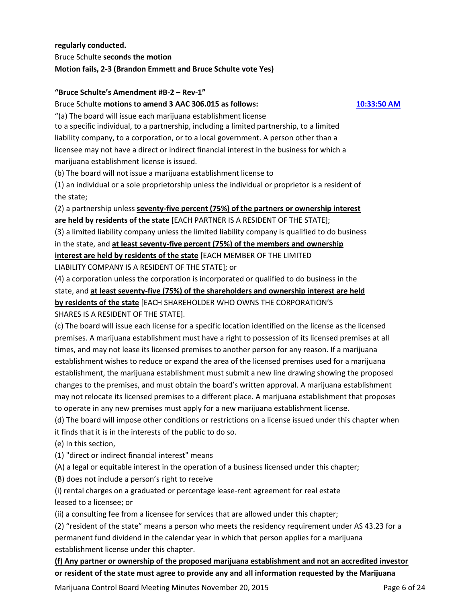**regularly conducted.** Bruce Schulte **seconds the motion Motion fails, 2-3 (Brandon Emmett and Bruce Schulte vote Yes)**

### **"Bruce Schulte's Amendment #B-2 – Rev-1"**

Bruce Schulte **motions to amend 3 AAC 306.015 as follows: [10:33:50 AM](ftr://?location="ABC Board"?date="20-Nov-2015"?position="10:33:50"?Data="56b6c23b")**

"(a) The board will issue each marijuana establishment license to a specific individual, to a partnership, including a limited partnership, to a limited liability company, to a corporation, or to a local government. A person other than a licensee may not have a direct or indirect financial interest in the business for which a marijuana establishment license is issued.

(b) The board will not issue a marijuana establishment license to

(1) an individual or a sole proprietorship unless the individual or proprietor is a resident of the state;

(2) a partnership unless **seventy-five percent (75%) of the partners or ownership interest are held by residents of the state** [EACH PARTNER IS A RESIDENT OF THE STATE];

(3) a limited liability company unless the limited liability company is qualified to do business in the state, and **at least seventy-five percent (75%) of the members and ownership interest are held by residents of the state** [EACH MEMBER OF THE LIMITED

LIABILITY COMPANY IS A RESIDENT OF THE STATE]; or

(4) a corporation unless the corporation is incorporated or qualified to do business in the state, and **at least seventy-five (75%) of the shareholders and ownership interest are held by residents of the state** [EACH SHAREHOLDER WHO OWNS THE CORPORATION'S SHARES IS A RESIDENT OF THE STATE].

(c) The board will issue each license for a specific location identified on the license as the licensed premises. A marijuana establishment must have a right to possession of its licensed premises at all times, and may not lease its licensed premises to another person for any reason. If a marijuana establishment wishes to reduce or expand the area of the licensed premises used for a marijuana establishment, the marijuana establishment must submit a new line drawing showing the proposed changes to the premises, and must obtain the board's written approval. A marijuana establishment may not relocate its licensed premises to a different place. A marijuana establishment that proposes to operate in any new premises must apply for a new marijuana establishment license.

(d) The board will impose other conditions or restrictions on a license issued under this chapter when it finds that it is in the interests of the public to do so.

(e) In this section,

(1) "direct or indirect financial interest" means

(A) a legal or equitable interest in the operation of a business licensed under this chapter;

(B) does not include a person's right to receive

(i) rental charges on a graduated or percentage lease-rent agreement for real estate leased to a licensee; or

(ii) a consulting fee from a licensee for services that are allowed under this chapter;

(2) "resident of the state" means a person who meets the residency requirement under AS 43.23 for a permanent fund dividend in the calendar year in which that person applies for a marijuana establishment license under this chapter.

**(f) Any partner or ownership of the proposed marijuana establishment and not an accredited investor or resident of the state must agree to provide any and all information requested by the Marijuana** 

Marijuana Control Board Meeting Minutes November 20, 2015 **Page 6 of 24** Page 6 of 24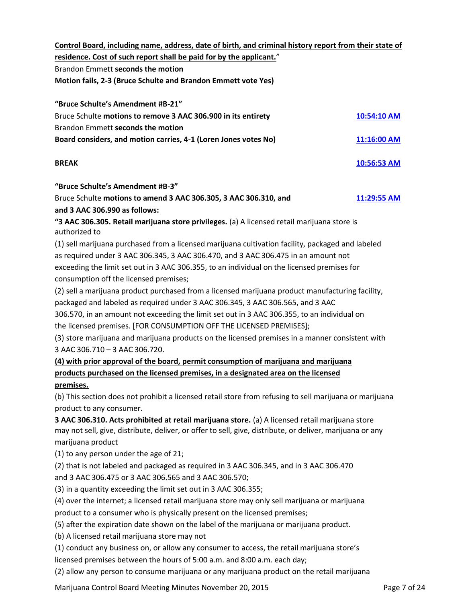**Control Board, including name, address, date of birth, and criminal history report from their state of residence. Cost of such report shall be paid for by the applicant.**" Brandon Emmett **seconds the motion Motion fails, 2-3 (Bruce Schulte and Brandon Emmett vote Yes) "Bruce Schulte's Amendment #B-21"**

| Bruce Schulte motions to remove 3 AAC 306.900 in its entirety   | 10:54:10 AM   |
|-----------------------------------------------------------------|---------------|
| Brandon Emmett seconds the motion                               |               |
| Board considers, and motion carries, 4-1 (Loren Jones votes No) | $11:16:00$ AM |

### **BREAK [10:56:53 AM](ftr://?location="ABC Board"?date="20-Nov-2015"?position="10:56:53"?Data="4d170371")**

**"Bruce Schulte's Amendment #B-3"**

Bruce Schulte **motions to amend 3 AAC 306.305, 3 AAC 306.310, and [11:29:55 AM](ftr://?location="ABC Board"?date="20-Nov-2015"?position="11:29:55"?Data="43877f3e") and 3 AAC 306.990 as follows:**

**"3 AAC 306.305. Retail marijuana store privileges.** (a) A licensed retail marijuana store is authorized to

(1) sell marijuana purchased from a licensed marijuana cultivation facility, packaged and labeled as required under 3 AAC 306.345, 3 AAC 306.470, and 3 AAC 306.475 in an amount not exceeding the limit set out in 3 AAC 306.355, to an individual on the licensed premises for consumption off the licensed premises;

(2) sell a marijuana product purchased from a licensed marijuana product manufacturing facility, packaged and labeled as required under 3 AAC 306.345, 3 AAC 306.565, and 3 AAC

306.570, in an amount not exceeding the limit set out in 3 AAC 306.355, to an individual on the licensed premises. [FOR CONSUMPTION OFF THE LICENSED PREMISES];

(3) store marijuana and marijuana products on the licensed premises in a manner consistent with 3 AAC 306.710 – 3 AAC 306.720.

**(4) with prior approval of the board, permit consumption of marijuana and marijuana products purchased on the licensed premises, in a designated area on the licensed** 

# **premises.**

(b) This section does not prohibit a licensed retail store from refusing to sell marijuana or marijuana product to any consumer.

**3 AAC 306.310. Acts prohibited at retail marijuana store.** (a) A licensed retail marijuana store may not sell, give, distribute, deliver, or offer to sell, give, distribute, or deliver, marijuana or any marijuana product

(1) to any person under the age of 21;

(2) that is not labeled and packaged as required in 3 AAC 306.345, and in 3 AAC 306.470

and 3 AAC 306.475 or 3 AAC 306.565 and 3 AAC 306.570;

(3) in a quantity exceeding the limit set out in 3 AAC 306.355;

(4) over the internet; a licensed retail marijuana store may only sell marijuana or marijuana

product to a consumer who is physically present on the licensed premises;

(5) after the expiration date shown on the label of the marijuana or marijuana product.

(b) A licensed retail marijuana store may not

(1) conduct any business on, or allow any consumer to access, the retail marijuana store's licensed premises between the hours of 5:00 a.m. and 8:00 a.m. each day;

(2) allow any person to consume marijuana or any marijuana product on the retail marijuana

Marijuana Control Board Meeting Minutes November 20, 2015 **Page 7 of 24** Page 7 of 24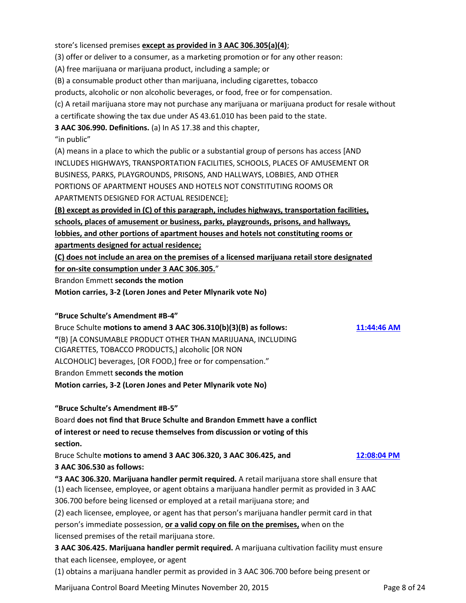store's licensed premises **except as provided in 3 AAC 306.305(a)(4)**;

(3) offer or deliver to a consumer, as a marketing promotion or for any other reason:

(A) free marijuana or marijuana product, including a sample; or

(B) a consumable product other than marijuana, including cigarettes, tobacco

products, alcoholic or non alcoholic beverages, or food, free or for compensation.

(c) A retail marijuana store may not purchase any marijuana or marijuana product for resale without

a certificate showing the tax due under AS 43.61.010 has been paid to the state.

**3 AAC 306.990. Definitions.** (a) In AS 17.38 and this chapter,

### "in public"

(A) means in a place to which the public or a substantial group of persons has access [AND INCLUDES HIGHWAYS, TRANSPORTATION FACILITIES, SCHOOLS, PLACES OF AMUSEMENT OR BUSINESS, PARKS, PLAYGROUNDS, PRISONS, AND HALLWAYS, LOBBIES, AND OTHER PORTIONS OF APARTMENT HOUSES AND HOTELS NOT CONSTITUTING ROOMS OR APARTMENTS DESIGNED FOR ACTUAL RESIDENCE];

**(B) except as provided in (C) of this paragraph, includes highways, transportation facilities, schools, places of amusement or business, parks, playgrounds, prisons, and hallways, lobbies, and other portions of apartment houses and hotels not constituting rooms or apartments designed for actual residence;**

**(C) does not include an area on the premises of a licensed marijuana retail store designated** 

**for on-site consumption under 3 AAC 306.305.**"

Brandon Emmett **seconds the motion**

**Motion carries, 3-2 (Loren Jones and Peter Mlynarik vote No)**

#### **"Bruce Schulte's Amendment #B-4"**

Bruce Schulte **motions to amend 3 AAC 306.310(b)(3)(B) as follows: [11:44:46 AM](ftr://?location="ABC Board"?date="20-Nov-2015"?position="11:44:46"?Data="80ad2d25") "**(B) [A CONSUMABLE PRODUCT OTHER THAN MARIJUANA, INCLUDING CIGARETTES, TOBACCO PRODUCTS,] alcoholic [OR NON ALCOHOLIC] beverages, [OR FOOD,] free or for compensation." Brandon Emmett **seconds the motion Motion carries, 3-2 (Loren Jones and Peter Mlynarik vote No)**

**"Bruce Schulte's Amendment #B-5"**

Board **does not find that Bruce Schulte and Brandon Emmett have a conflict of interest or need to recuse themselves from discussion or voting of this section.**

Bruce Schulte **motions to amend 3 AAC 306.320, 3 AAC 306.425, and [12:08:04 PM](ftr://?location="ABC Board"?date="20-Nov-2015"?position="12:08:04"?Data="81c7c8bb")**

# **3 AAC 306.530 as follows:**

**"3 AAC 306.320. Marijuana handler permit required.** A retail marijuana store shall ensure that (1) each licensee, employee, or agent obtains a marijuana handler permit as provided in 3 AAC 306.700 before being licensed or employed at a retail marijuana store; and

(2) each licensee, employee, or agent has that person's marijuana handler permit card in that person's immediate possession, **or a valid copy on file on the premises,** when on the licensed premises of the retail marijuana store.

**3 AAC 306.425. Marijuana handler permit required.** A marijuana cultivation facility must ensure that each licensee, employee, or agent

(1) obtains a marijuana handler permit as provided in 3 AAC 306.700 before being present or

Marijuana Control Board Meeting Minutes November 20, 2015 **Page 8 of 24** Page 8 of 24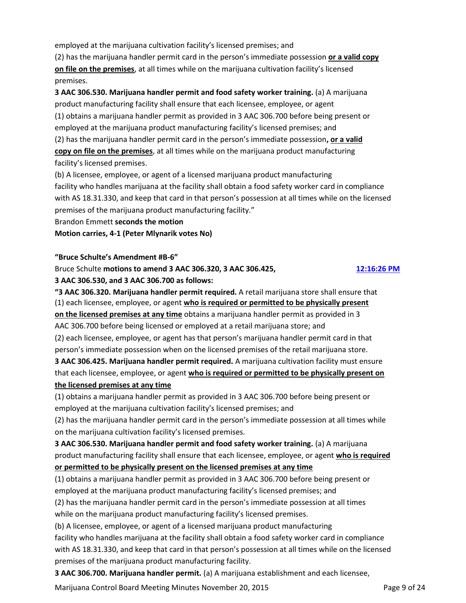employed at the marijuana cultivation facility's licensed premises; and

(2) has the marijuana handler permit card in the person's immediate possession **or a valid copy on file on the premises**, at all times while on the marijuana cultivation facility's licensed premises.

**3 AAC 306.530. Marijuana handler permit and food safety worker training.** (a) A marijuana product manufacturing facility shall ensure that each licensee, employee, or agent (1) obtains a marijuana handler permit as provided in 3 AAC 306.700 before being present or employed at the marijuana product manufacturing facility's licensed premises; and (2) has the marijuana handler permit card in the person's immediate possession**, or a valid copy on file on the premises**, at all times while on the marijuana product manufacturing facility's licensed premises.

(b) A licensee, employee, or agent of a licensed marijuana product manufacturing facility who handles marijuana at the facility shall obtain a food safety worker card in compliance with AS 18.31.330, and keep that card in that person's possession at all times while on the licensed premises of the marijuana product manufacturing facility."

Brandon Emmett **seconds the motion**

**Motion carries, 4-1 (Peter Mlynarik votes No)**

#### **"Bruce Schulte's Amendment #B-6"**

#### Bruce Schulte **motions to amend 3 AAC 306.320, 3 AAC 306.425, [12:16:26 PM](ftr://?location="ABC Board"?date="20-Nov-2015"?position="12:16:26"?Data="e36adde7")**

**3 AAC 306.530, and 3 AAC 306.700 as follows:**

**"3 AAC 306.320. Marijuana handler permit required.** A retail marijuana store shall ensure that (1) each licensee, employee, or agent **who is required or permitted to be physically present on the licensed premises at any time** obtains a marijuana handler permit as provided in 3 AAC 306.700 before being licensed or employed at a retail marijuana store; and (2) each licensee, employee, or agent has that person's marijuana handler permit card in that

person's immediate possession when on the licensed premises of the retail marijuana store. **3 AAC 306.425. Marijuana handler permit required.** A marijuana cultivation facility must ensure that each licensee, employee, or agent **who is required or permitted to be physically present on the licensed premises at any time** 

# (1) obtains a marijuana handler permit as provided in 3 AAC 306.700 before being present or employed at the marijuana cultivation facility's licensed premises; and

(2) has the marijuana handler permit card in the person's immediate possession at all times while on the marijuana cultivation facility's licensed premises.

**3 AAC 306.530. Marijuana handler permit and food safety worker training.** (a) A marijuana product manufacturing facility shall ensure that each licensee, employee, or agent **who is required or permitted to be physically present on the licensed premises at any time** 

(1) obtains a marijuana handler permit as provided in 3 AAC 306.700 before being present or employed at the marijuana product manufacturing facility's licensed premises; and

(2) has the marijuana handler permit card in the person's immediate possession at all times while on the marijuana product manufacturing facility's licensed premises.

(b) A licensee, employee, or agent of a licensed marijuana product manufacturing

facility who handles marijuana at the facility shall obtain a food safety worker card in compliance with AS 18.31.330, and keep that card in that person's possession at all times while on the licensed premises of the marijuana product manufacturing facility.

**3 AAC 306.700. Marijuana handler permit.** (a) A marijuana establishment and each licensee,

Marijuana Control Board Meeting Minutes November 20, 2015 **Page 9 of 24** Page 9 of 24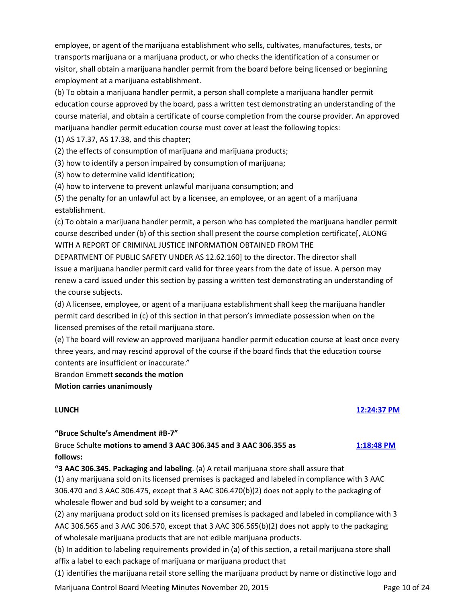employee, or agent of the marijuana establishment who sells, cultivates, manufactures, tests, or transports marijuana or a marijuana product, or who checks the identification of a consumer or visitor, shall obtain a marijuana handler permit from the board before being licensed or beginning employment at a marijuana establishment.

(b) To obtain a marijuana handler permit, a person shall complete a marijuana handler permit education course approved by the board, pass a written test demonstrating an understanding of the course material, and obtain a certificate of course completion from the course provider. An approved marijuana handler permit education course must cover at least the following topics:

(1) AS 17.37, AS 17.38, and this chapter;

(2) the effects of consumption of marijuana and marijuana products;

(3) how to identify a person impaired by consumption of marijuana;

(3) how to determine valid identification;

(4) how to intervene to prevent unlawful marijuana consumption; and

(5) the penalty for an unlawful act by a licensee, an employee, or an agent of a marijuana establishment.

(c) To obtain a marijuana handler permit, a person who has completed the marijuana handler permit course described under (b) of this section shall present the course completion certificate[, ALONG WITH A REPORT OF CRIMINAL JUSTICE INFORMATION OBTAINED FROM THE

DEPARTMENT OF PUBLIC SAFETY UNDER AS 12.62.160] to the director. The director shall issue a marijuana handler permit card valid for three years from the date of issue. A person may renew a card issued under this section by passing a written test demonstrating an understanding of the course subjects.

(d) A licensee, employee, or agent of a marijuana establishment shall keep the marijuana handler permit card described in (c) of this section in that person's immediate possession when on the licensed premises of the retail marijuana store.

(e) The board will review an approved marijuana handler permit education course at least once every three years, and may rescind approval of the course if the board finds that the education course contents are insufficient or inaccurate."

Brandon Emmett **seconds the motion**

**Motion carries unanimously**

#### **LUNCH [12:24:37 PM](ftr://?location="ABC Board"?date="20-Nov-2015"?position="12:24:37"?Data="e3e16bea")**

**"Bruce Schulte's Amendment #B-7"**

Bruce Schulte **motions to amend 3 AAC 306.345 and 3 AAC 306.355 as [1:18:48 PM](ftr://?location="ABC Board"?date="20-Nov-2015"?position="13:18:48"?Data="654de8eb") follows:**

**"3 AAC 306.345. Packaging and labeling**. (a) A retail marijuana store shall assure that (1) any marijuana sold on its licensed premises is packaged and labeled in compliance with 3 AAC 306.470 and 3 AAC 306.475, except that 3 AAC 306.470(b)(2) does not apply to the packaging of wholesale flower and bud sold by weight to a consumer; and

(2) any marijuana product sold on its licensed premises is packaged and labeled in compliance with 3 AAC 306.565 and 3 AAC 306.570, except that 3 AAC 306.565(b)(2) does not apply to the packaging of wholesale marijuana products that are not edible marijuana products.

(b) In addition to labeling requirements provided in (a) of this section, a retail marijuana store shall affix a label to each package of marijuana or marijuana product that

(1) identifies the marijuana retail store selling the marijuana product by name or distinctive logo and

Marijuana Control Board Meeting Minutes November 20, 2015 **Page 10 of 24** Page 10 of 24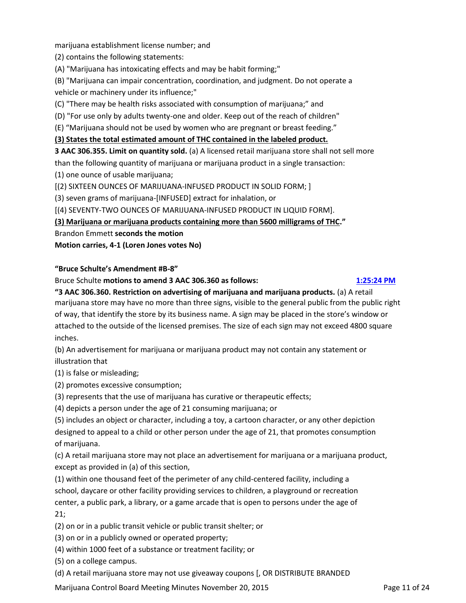marijuana establishment license number; and

(2) contains the following statements:

(A) "Marijuana has intoxicating effects and may be habit forming;"

(B) "Marijuana can impair concentration, coordination, and judgment. Do not operate a vehicle or machinery under its influence;"

(C) "There may be health risks associated with consumption of marijuana;" and

(D) "For use only by adults twenty-one and older. Keep out of the reach of children"

(E) "Marijuana should not be used by women who are pregnant or breast feeding."

#### **(3) States the total estimated amount of THC contained in the labeled product.**

**3 AAC 306.355. Limit on quantity sold.** (a) A licensed retail marijuana store shall not sell more than the following quantity of marijuana or marijuana product in a single transaction:

(1) one ounce of usable marijuana;

[(2) SIXTEEN OUNCES OF MARIJUANA-INFUSED PRODUCT IN SOLID FORM; ]

(3) seven grams of marijuana-[INFUSED] extract for inhalation, or

[(4) SEVENTY-TWO OUNCES OF MARIJUANA-INFUSED PRODUCT IN LIQUID FORM].

**(3) Marijuana or marijuana products containing more than 5600 milligrams of THC."**

Brandon Emmett **seconds the motion**

**Motion carries, 4-1 (Loren Jones votes No)**

#### **"Bruce Schulte's Amendment #B-8"**

Bruce Schulte **motions to amend 3 AAC 306.360 as follows: [1:25:24 PM](ftr://?location="ABC Board"?date="20-Nov-2015"?position="13:25:24"?Data="7ba2ed0e")**

**"3 AAC 306.360. Restriction on advertising of marijuana and marijuana products.** (a) A retail marijuana store may have no more than three signs, visible to the general public from the public right of way, that identify the store by its business name. A sign may be placed in the store's window or attached to the outside of the licensed premises. The size of each sign may not exceed 4800 square inches.

(b) An advertisement for marijuana or marijuana product may not contain any statement or illustration that

(1) is false or misleading;

(2) promotes excessive consumption;

(3) represents that the use of marijuana has curative or therapeutic effects;

(4) depicts a person under the age of 21 consuming marijuana; or

(5) includes an object or character, including a toy, a cartoon character, or any other depiction designed to appeal to a child or other person under the age of 21, that promotes consumption of marijuana.

(c) A retail marijuana store may not place an advertisement for marijuana or a marijuana product, except as provided in (a) of this section,

(1) within one thousand feet of the perimeter of any child-centered facility, including a school, daycare or other facility providing services to children, a playground or recreation center, a public park, a library, or a game arcade that is open to persons under the age of 21;

- (2) on or in a public transit vehicle or public transit shelter; or
- (3) on or in a publicly owned or operated property;
- (4) within 1000 feet of a substance or treatment facility; or

(5) on a college campus.

(d) A retail marijuana store may not use giveaway coupons [, OR DISTRIBUTE BRANDED

Marijuana Control Board Meeting Minutes November 20, 2015 **Page 11 of 24** Page 11 of 24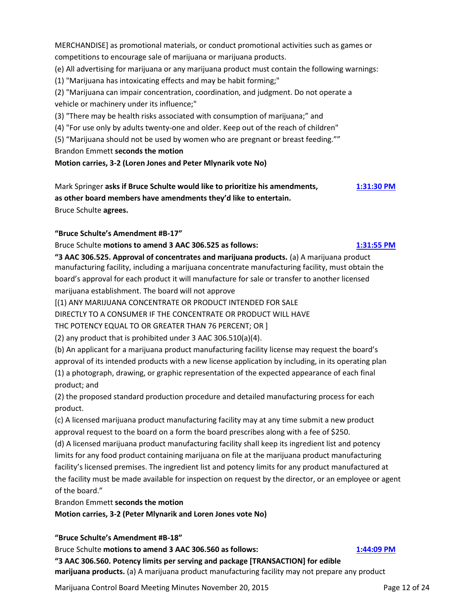MERCHANDISE] as promotional materials, or conduct promotional activities such as games or competitions to encourage sale of marijuana or marijuana products.

(e) All advertising for marijuana or any marijuana product must contain the following warnings:

(1) "Marijuana has intoxicating effects and may be habit forming;"

(2) "Marijuana can impair concentration, coordination, and judgment. Do not operate a vehicle or machinery under its influence;"

(3) "There may be health risks associated with consumption of marijuana;" and

(4) "For use only by adults twenty-one and older. Keep out of the reach of children"

(5) "Marijuana should not be used by women who are pregnant or breast feeding.""

Brandon Emmett **seconds the motion**

**Motion carries, 3-2 (Loren Jones and Peter Mlynarik vote No)**

Mark Springer **asks if Bruce Schulte would like to prioritize his amendments, [1:31:30 PM](ftr://?location="ABC Board"?date="20-Nov-2015"?position="13:31:50"?Data="7b8ba6f4") as other board members have amendments they'd like to entertain.** Bruce Schulte **agrees.**

# **"Bruce Schulte's Amendment #B-17"**

Bruce Schulte **motions to amend 3 AAC 306.525 as follows: [1:31:55 PM](ftr://?location="ABC Board"?date="20-Nov-2015"?position="13:31:50"?Data="7b8ba6f4")**

**"3 AAC 306.525. Approval of concentrates and marijuana products.** (a) A marijuana product manufacturing facility, including a marijuana concentrate manufacturing facility, must obtain the board's approval for each product it will manufacture for sale or transfer to another licensed marijuana establishment. The board will not approve

[(1) ANY MARIJUANA CONCENTRATE OR PRODUCT INTENDED FOR SALE

DIRECTLY TO A CONSUMER IF THE CONCENTRATE OR PRODUCT WILL HAVE

THC POTENCY EQUAL TO OR GREATER THAN 76 PERCENT; OR ]

(2) any product that is prohibited under 3 AAC 306.510(a)(4).

(b) An applicant for a marijuana product manufacturing facility license may request the board's approval of its intended products with a new license application by including, in its operating plan (1) a photograph, drawing, or graphic representation of the expected appearance of each final product; and

(2) the proposed standard production procedure and detailed manufacturing process for each product.

(c) A licensed marijuana product manufacturing facility may at any time submit a new product approval request to the board on a form the board prescribes along with a fee of \$250.

(d) A licensed marijuana product manufacturing facility shall keep its ingredient list and potency limits for any food product containing marijuana on file at the marijuana product manufacturing facility's licensed premises. The ingredient list and potency limits for any product manufactured at the facility must be made available for inspection on request by the director, or an employee or agent of the board."

Brandon Emmett **seconds the motion**

**Motion carries, 3-2 (Peter Mlynarik and Loren Jones vote No)**

# **"Bruce Schulte's Amendment #B-18"**

Bruce Schulte **motions to amend 3 AAC 306.560 as follows: [1:44:09 PM](ftr://?location="ABC Board"?date="20-Nov-2015"?position="13:44:09"?Data="c4ff5a06")**

**"3 AAC 306.560. Potency limits per serving and package [TRANSACTION] for edible marijuana products.** (a) A marijuana product manufacturing facility may not prepare any product

Marijuana Control Board Meeting Minutes November 20, 2015 **Page 12 of 24** Page 12 of 24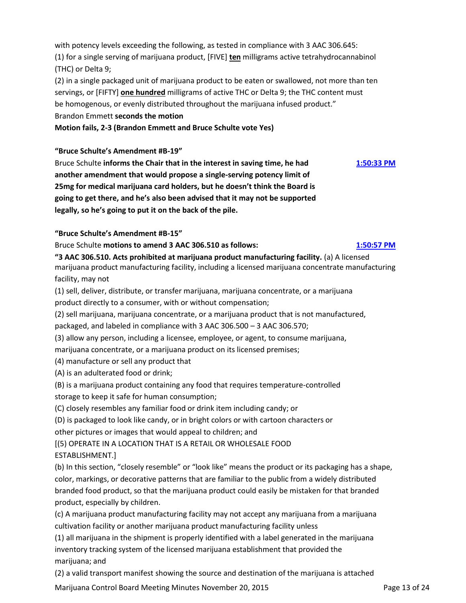with potency levels exceeding the following, as tested in compliance with 3 AAC 306.645: (1) for a single serving of marijuana product, [FIVE] **ten** milligrams active tetrahydrocannabinol (THC) or Delta 9;

(2) in a single packaged unit of marijuana product to be eaten or swallowed, not more than ten servings, or [FIFTY] **one hundred** milligrams of active THC or Delta 9; the THC content must be homogenous, or evenly distributed throughout the marijuana infused product." Brandon Emmett **seconds the motion**

**Motion fails, 2-3 (Brandon Emmett and Bruce Schulte vote Yes)**

### **"Bruce Schulte's Amendment #B-19"**

Bruce Schulte **informs the Chair that in the interest in saving time, he had [1:50:33 PM](ftr://?location="ABC Board"?date="20-Nov-2015"?position="13:50:33"?Data="bf9824d9") another amendment that would propose a single-serving potency limit of 25mg for medical marijuana card holders, but he doesn't think the Board is going to get there, and he's also been advised that it may not be supported legally, so he's going to put it on the back of the pile.**

### **"Bruce Schulte's Amendment #B-15"**

Bruce Schulte **motions to amend 3 AAC 306.510 as follows: [1:50:57 PM](ftr://?location="ABC Board"?date="20-Nov-2015"?position="13:50:33"?Data="bf9824d9")**

**"3 AAC 306.510. Acts prohibited at marijuana product manufacturing facility.** (a) A licensed marijuana product manufacturing facility, including a licensed marijuana concentrate manufacturing facility, may not

(1) sell, deliver, distribute, or transfer marijuana, marijuana concentrate, or a marijuana product directly to a consumer, with or without compensation;

(2) sell marijuana, marijuana concentrate, or a marijuana product that is not manufactured,

packaged, and labeled in compliance with 3 AAC 306.500 – 3 AAC 306.570;

(3) allow any person, including a licensee, employee, or agent, to consume marijuana,

marijuana concentrate, or a marijuana product on its licensed premises;

(4) manufacture or sell any product that

(A) is an adulterated food or drink;

(B) is a marijuana product containing any food that requires temperature-controlled storage to keep it safe for human consumption;

(C) closely resembles any familiar food or drink item including candy; or

(D) is packaged to look like candy, or in bright colors or with cartoon characters or other pictures or images that would appeal to children; and

[(5) OPERATE IN A LOCATION THAT IS A RETAIL OR WHOLESALE FOOD ESTABLISHMENT.]

(b) In this section, "closely resemble" or "look like" means the product or its packaging has a shape, color, markings, or decorative patterns that are familiar to the public from a widely distributed branded food product, so that the marijuana product could easily be mistaken for that branded product, especially by children.

(c) A marijuana product manufacturing facility may not accept any marijuana from a marijuana cultivation facility or another marijuana product manufacturing facility unless

(1) all marijuana in the shipment is properly identified with a label generated in the marijuana inventory tracking system of the licensed marijuana establishment that provided the marijuana; and

(2) a valid transport manifest showing the source and destination of the marijuana is attached

Marijuana Control Board Meeting Minutes November 20, 2015 **Page 13 of 24** Page 13 of 24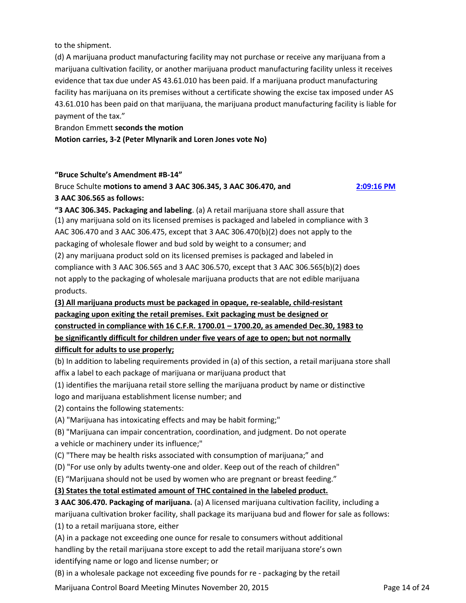to the shipment.

(d) A marijuana product manufacturing facility may not purchase or receive any marijuana from a marijuana cultivation facility, or another marijuana product manufacturing facility unless it receives evidence that tax due under AS 43.61.010 has been paid. If a marijuana product manufacturing facility has marijuana on its premises without a certificate showing the excise tax imposed under AS 43.61.010 has been paid on that marijuana, the marijuana product manufacturing facility is liable for payment of the tax."

Brandon Emmett **seconds the motion**

### **Motion carries, 3-2 (Peter Mlynarik and Loren Jones vote No)**

### **"Bruce Schulte's Amendment #B-14"**

# Bruce Schulte **motions to amend 3 AAC 306.345, 3 AAC 306.470, and [2:09:16 PM](ftr://?location="ABC Board"?date="20-Nov-2015"?position="14:09:16"?Data="5cc1d14f") 3 AAC 306.565 as follows:**

**"3 AAC 306.345. Packaging and labeling**. (a) A retail marijuana store shall assure that (1) any marijuana sold on its licensed premises is packaged and labeled in compliance with 3 AAC 306.470 and 3 AAC 306.475, except that 3 AAC 306.470(b)(2) does not apply to the packaging of wholesale flower and bud sold by weight to a consumer; and (2) any marijuana product sold on its licensed premises is packaged and labeled in compliance with 3 AAC 306.565 and 3 AAC 306.570, except that 3 AAC 306.565(b)(2) does not apply to the packaging of wholesale marijuana products that are not edible marijuana products.

# **(3) All marijuana products must be packaged in opaque, re-sealable, child-resistant packaging upon exiting the retail premises. Exit packaging must be designed or constructed in compliance with 16 C.F.R. 1700.01 – 1700.20, as amended Dec.30, 1983 to be significantly difficult for children under five years of age to open; but not normally difficult for adults to use properly;**

(b) In addition to labeling requirements provided in (a) of this section, a retail marijuana store shall affix a label to each package of marijuana or marijuana product that

(1) identifies the marijuana retail store selling the marijuana product by name or distinctive logo and marijuana establishment license number; and

(2) contains the following statements:

(A) "Marijuana has intoxicating effects and may be habit forming;"

(B) "Marijuana can impair concentration, coordination, and judgment. Do not operate a vehicle or machinery under its influence;"

(C) "There may be health risks associated with consumption of marijuana;" and

(D) "For use only by adults twenty-one and older. Keep out of the reach of children"

(E) "Marijuana should not be used by women who are pregnant or breast feeding."

# **(3) States the total estimated amount of THC contained in the labeled product.**

**3 AAC 306.470. Packaging of marijuana.** (a) A licensed marijuana cultivation facility, including a marijuana cultivation broker facility, shall package its marijuana bud and flower for sale as follows:

(1) to a retail marijuana store, either

(A) in a package not exceeding one ounce for resale to consumers without additional handling by the retail marijuana store except to add the retail marijuana store's own identifying name or logo and license number; or

(B) in a wholesale package not exceeding five pounds for re - packaging by the retail

Marijuana Control Board Meeting Minutes November 20, 2015 **Page 14 of 24** Page 14 of 24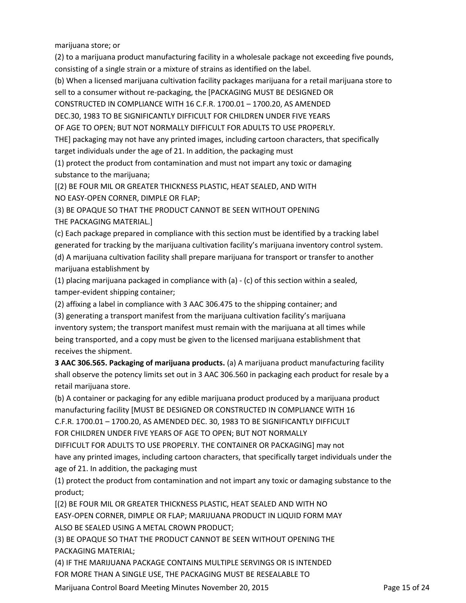marijuana store; or

(2) to a marijuana product manufacturing facility in a wholesale package not exceeding five pounds, consisting of a single strain or a mixture of strains as identified on the label.

(b) When a licensed marijuana cultivation facility packages marijuana for a retail marijuana store to

sell to a consumer without re-packaging, the [PACKAGING MUST BE DESIGNED OR

CONSTRUCTED IN COMPLIANCE WITH 16 C.F.R. 1700.01 – 1700.20, AS AMENDED

DEC.30, 1983 TO BE SIGNIFICANTLY DIFFICULT FOR CHILDREN UNDER FIVE YEARS

OF AGE TO OPEN; BUT NOT NORMALLY DIFFICULT FOR ADULTS TO USE PROPERLY.

THE] packaging may not have any printed images, including cartoon characters, that specifically

target individuals under the age of 21. In addition, the packaging must

(1) protect the product from contamination and must not impart any toxic or damaging substance to the marijuana;

[(2) BE FOUR MIL OR GREATER THICKNESS PLASTIC, HEAT SEALED, AND WITH

NO EASY-OPEN CORNER, DIMPLE OR FLAP;

(3) BE OPAQUE SO THAT THE PRODUCT CANNOT BE SEEN WITHOUT OPENING THE PACKAGING MATERIAL.]

(c) Each package prepared in compliance with this section must be identified by a tracking label generated for tracking by the marijuana cultivation facility's marijuana inventory control system. (d) A marijuana cultivation facility shall prepare marijuana for transport or transfer to another marijuana establishment by

(1) placing marijuana packaged in compliance with (a) - (c) of this section within a sealed, tamper-evident shipping container;

(2) affixing a label in compliance with 3 AAC 306.475 to the shipping container; and

(3) generating a transport manifest from the marijuana cultivation facility's marijuana inventory system; the transport manifest must remain with the marijuana at all times while being transported, and a copy must be given to the licensed marijuana establishment that receives the shipment.

**3 AAC 306.565. Packaging of marijuana products.** (a) A marijuana product manufacturing facility shall observe the potency limits set out in 3 AAC 306.560 in packaging each product for resale by a retail marijuana store.

(b) A container or packaging for any edible marijuana product produced by a marijuana product manufacturing facility [MUST BE DESIGNED OR CONSTRUCTED IN COMPLIANCE WITH 16

C.F.R. 1700.01 – 1700.20, AS AMENDED DEC. 30, 1983 TO BE SIGNIFICANTLY DIFFICULT

FOR CHILDREN UNDER FIVE YEARS OF AGE TO OPEN; BUT NOT NORMALLY

DIFFICULT FOR ADULTS TO USE PROPERLY. THE CONTAINER OR PACKAGING] may not

have any printed images, including cartoon characters, that specifically target individuals under the age of 21. In addition, the packaging must

(1) protect the product from contamination and not impart any toxic or damaging substance to the product;

[(2) BE FOUR MIL OR GREATER THICKNESS PLASTIC, HEAT SEALED AND WITH NO

EASY-OPEN CORNER, DIMPLE OR FLAP; MARIJUANA PRODUCT IN LIQUID FORM MAY ALSO BE SEALED USING A METAL CROWN PRODUCT;

(3) BE OPAQUE SO THAT THE PRODUCT CANNOT BE SEEN WITHOUT OPENING THE PACKAGING MATERIAL;

(4) IF THE MARIJUANA PACKAGE CONTAINS MULTIPLE SERVINGS OR IS INTENDED FOR MORE THAN A SINGLE USE, THE PACKAGING MUST BE RESEALABLE TO

Marijuana Control Board Meeting Minutes November 20, 2015 **Page 15 of 24** Page 15 of 24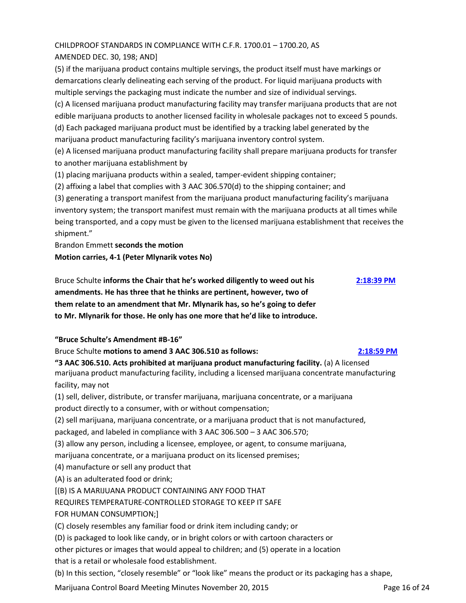# CHILDPROOF STANDARDS IN COMPLIANCE WITH C.F.R. 1700.01 – 1700.20, AS

# AMENDED DEC. 30, 198; AND]

(5) if the marijuana product contains multiple servings, the product itself must have markings or demarcations clearly delineating each serving of the product. For liquid marijuana products with multiple servings the packaging must indicate the number and size of individual servings.

(c) A licensed marijuana product manufacturing facility may transfer marijuana products that are not edible marijuana products to another licensed facility in wholesale packages not to exceed 5 pounds. (d) Each packaged marijuana product must be identified by a tracking label generated by the marijuana product manufacturing facility's marijuana inventory control system.

(e) A licensed marijuana product manufacturing facility shall prepare marijuana products for transfer to another marijuana establishment by

(1) placing marijuana products within a sealed, tamper-evident shipping container;

(2) affixing a label that complies with 3 AAC 306.570(d) to the shipping container; and

(3) generating a transport manifest from the marijuana product manufacturing facility's marijuana inventory system; the transport manifest must remain with the marijuana products at all times while being transported, and a copy must be given to the licensed marijuana establishment that receives the shipment."

Brandon Emmett **seconds the motion**

**Motion carries, 4-1 (Peter Mlynarik votes No)**

Bruce Schulte **informs the Chair that he's worked diligently to weed out his [2:18:39 PM](ftr://?location="ABC Board"?date="20-Nov-2015"?position="14:18:39"?Data="3d0d4743") amendments. He has three that he thinks are pertinent, however, two of them relate to an amendment that Mr. Mlynarik has, so he's going to defer to Mr. Mlynarik for those. He only has one more that he'd like to introduce.**

**"Bruce Schulte's Amendment #B-16"**

Bruce Schulte **motions to amend 3 AAC 306.510 as follows: [2:18:59 PM](ftr://?location="ABC Board"?date="20-Nov-2015"?position="14:18:39"?Data="3d0d4743")**

**"3 AAC 306.510. Acts prohibited at marijuana product manufacturing facility.** (a) A licensed marijuana product manufacturing facility, including a licensed marijuana concentrate manufacturing facility, may not

(1) sell, deliver, distribute, or transfer marijuana, marijuana concentrate, or a marijuana product directly to a consumer, with or without compensation;

(2) sell marijuana, marijuana concentrate, or a marijuana product that is not manufactured, packaged, and labeled in compliance with 3 AAC 306.500 – 3 AAC 306.570;

(3) allow any person, including a licensee, employee, or agent, to consume marijuana,

marijuana concentrate, or a marijuana product on its licensed premises;

- (4) manufacture or sell any product that
- (A) is an adulterated food or drink;

[(B) IS A MARIJUANA PRODUCT CONTAINING ANY FOOD THAT

REQUIRES TEMPERATURE-CONTROLLED STORAGE TO KEEP IT SAFE

FOR HUMAN CONSUMPTION;]

(C) closely resembles any familiar food or drink item including candy; or

(D) is packaged to look like candy, or in bright colors or with cartoon characters or

other pictures or images that would appeal to children; and (5) operate in a location

that is a retail or wholesale food establishment.

(b) In this section, "closely resemble" or "look like" means the product or its packaging has a shape,

Marijuana Control Board Meeting Minutes November 20, 2015 **Page 16 of 24** Page 16 of 24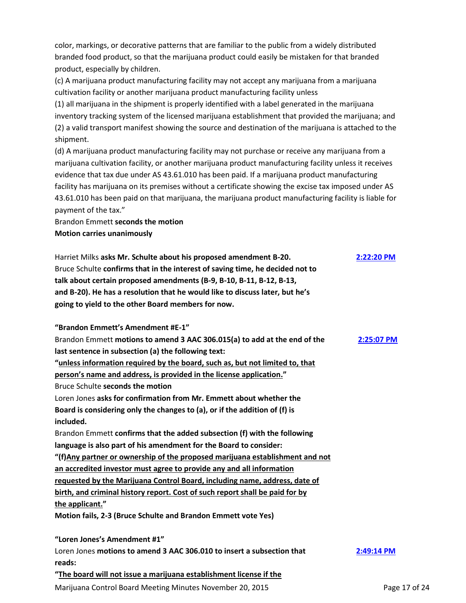color, markings, or decorative patterns that are familiar to the public from a widely distributed branded food product, so that the marijuana product could easily be mistaken for that branded product, especially by children.

(c) A marijuana product manufacturing facility may not accept any marijuana from a marijuana cultivation facility or another marijuana product manufacturing facility unless

(1) all marijuana in the shipment is properly identified with a label generated in the marijuana inventory tracking system of the licensed marijuana establishment that provided the marijuana; and (2) a valid transport manifest showing the source and destination of the marijuana is attached to the shipment.

(d) A marijuana product manufacturing facility may not purchase or receive any marijuana from a marijuana cultivation facility, or another marijuana product manufacturing facility unless it receives evidence that tax due under AS 43.61.010 has been paid. If a marijuana product manufacturing facility has marijuana on its premises without a certificate showing the excise tax imposed under AS 43.61.010 has been paid on that marijuana, the marijuana product manufacturing facility is liable for payment of the tax."

Brandon Emmett **seconds the motion Motion carries unanimously**

Harriet Milks **asks Mr. Schulte about his proposed amendment B-20. [2:22:20 PM](ftr://?location="ABC Board"?date="20-Nov-2015"?position="14:25:07"?Data="d9261b9e")** Bruce Schulte **confirms that in the interest of saving time, he decided not to talk about certain proposed amendments (B-9, B-10, B-11, B-12, B-13, and B-20). He has a resolution that he would like to discuss later, but he's going to yield to the other Board members for now.**

**"Brandon Emmett's Amendment #E-1"**

Brandon Emmett **motions to amend 3 AAC 306.015(a) to add at the end of the [2:25:07 PM](ftr://?location="ABC Board"?date="20-Nov-2015"?position="14:25:07"?Data="d9261b9e") last sentence in subsection (a) the following text: "unless information required by the board, such as, but not limited to, that person's name and address, is provided in the license application."** Bruce Schulte **seconds the motion** Loren Jones **asks for confirmation from Mr. Emmett about whether the Board is considering only the changes to (a), or if the addition of (f) is included.** Brandon Emmett **confirms that the added subsection (f) with the following language is also part of his amendment for the Board to consider: "(f)Any partner or ownership of the proposed marijuana establishment and not an accredited investor must agree to provide any and all information requested by the Marijuana Control Board, including name, address, date of birth, and criminal history report. Cost of such report shall be paid for by the applicant." Motion fails, 2-3 (Bruce Schulte and Brandon Emmett vote Yes) "Loren Jones's Amendment #1"** Loren Jones **motions to amend 3 AAC 306.010 to insert a subsection that [2:49:14 PM](ftr://?location="ABC Board"?date="20-Nov-2015"?position="14:49:14"?Data="f5ce22bb")**

**reads: "The board will not issue a marijuana establishment license if the**

Marijuana Control Board Meeting Minutes November 20, 2015 **Page 17 of 24** Page 17 of 24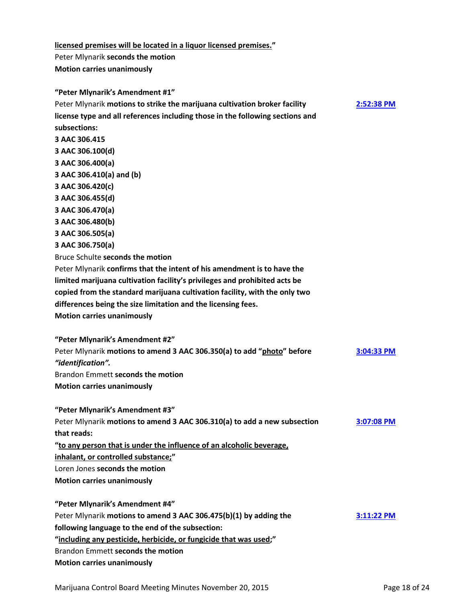**licensed premises will be located in a liquor licensed premises."** Peter Mlynarik **seconds the motion Motion carries unanimously**

**"Peter Mlynarik's Amendment #1"** Peter Mlynarik **motions to strike the marijuana cultivation broker facility [2:52:38 PM](ftr://?location="ABC Board"?date="20-Nov-2015"?position="14:52:38"?Data="91958b90") license type and all references including those in the following sections and subsections: 3 AAC 306.415 3 AAC 306.100(d) 3 AAC 306.400(a) 3 AAC 306.410(a) and (b) 3 AAC 306.420(c) 3 AAC 306.455(d) 3 AAC 306.470(a) 3 AAC 306.480(b) 3 AAC 306.505(a) 3 AAC 306.750(a)** Bruce Schulte **seconds the motion** Peter Mlynarik **confirms that the intent of his amendment is to have the limited marijuana cultivation facility's privileges and prohibited acts be copied from the standard marijuana cultivation facility, with the only two differences being the size limitation and the licensing fees. Motion carries unanimously "Peter Mlynarik's Amendment #2"** Peter Mlynarik **motions to amend 3 AAC 306.350(a) to add "photo" before [3:04:33 PM](ftr://?location="ABC Board"?date="20-Nov-2015"?position="15:04:33"?Data="7d419a57")** *"identification".* Brandon Emmett **seconds the motion Motion carries unanimously "Peter Mlynarik's Amendment #3"** Peter Mlynarik **motions to amend 3 AAC 306.310(a) to add a new subsection [3:07:08 PM](ftr://?location="ABC Board"?date="20-Nov-2015"?position="15:07:08"?Data="c7e3d4fb") that reads: "to any person that is under the influence of an alcoholic beverage, inhalant, or controlled substance;"** Loren Jones **seconds the motion Motion carries unanimously "Peter Mlynarik's Amendment #4"** Peter Mlynarik **motions to amend 3 AAC 306.475(b)(1) by adding the [3:11:22 PM](ftr://?location="ABC Board"?date="20-Nov-2015"?position="15:11:22"?Data="732da9bc") following language to the end of the subsection: "including any pesticide, herbicide, or fungicide that was used;"** Brandon Emmett **seconds the motion Motion carries unanimously**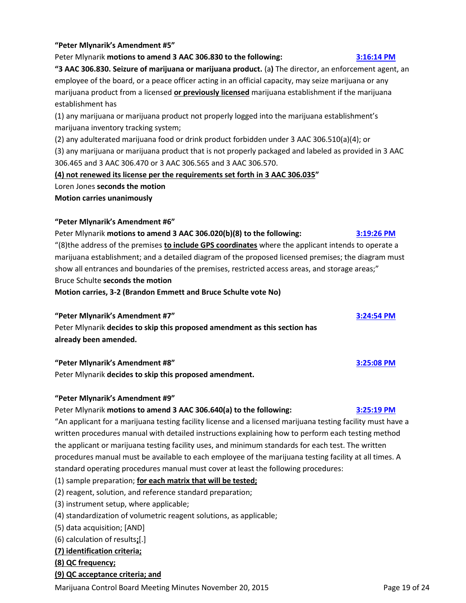#### **"Peter Mlynarik's Amendment #5"**

Peter Mlynarik **motions to amend 3 AAC 306.830 to the following: [3:16:14 PM](ftr://?location="ABC Board"?date="20-Nov-2015"?position="15:16:14"?Data="320e9fb7")**

**"3 AAC 306.830. Seizure of marijuana or marijuana product.** (a**)** The director, an enforcement agent, an employee of the board, or a peace officer acting in an official capacity, may seize marijuana or any marijuana product from a licensed **or previously licensed** marijuana establishment if the marijuana establishment has

(1) any marijuana or marijuana product not properly logged into the marijuana establishment's marijuana inventory tracking system;

(2) any adulterated marijuana food or drink product forbidden under 3 AAC 306.510(a)(4); or (3) any marijuana or marijuana product that is not properly packaged and labeled as provided in 3 AAC 306.465 and 3 AAC 306.470 or 3 AAC 306.565 and 3 AAC 306.570.

**(4) not renewed its license per the requirements set forth in 3 AAC 306.035"** 

Loren Jones **seconds the motion**

**Motion carries unanimously**

### **"Peter Mlynarik's Amendment #6"**

Peter Mlynarik **motions to amend 3 AAC 306.020(b)(8) to the following: [3:19:26 PM](ftr://?location="ABC Board"?date="20-Nov-2015"?position="15:19:26"?Data="ef987e1f")** "(8)the address of the premises **to include GPS coordinates** where the applicant intends to operate a marijuana establishment; and a detailed diagram of the proposed licensed premises; the diagram must show all entrances and boundaries of the premises, restricted access areas, and storage areas;" Bruce Schulte **seconds the motion**

**Motion carries, 3-2 (Brandon Emmett and Bruce Schulte vote No)**

# **"Peter Mlynarik's Amendment #7" [3:24:54 PM](ftr://?location="ABC Board"?date="20-Nov-2015"?position="15:24:54"?Data="daf4df6c")**

Peter Mlynarik **decides to skip this proposed amendment as this section has already been amended.**

# **"Peter Mlynarik's Amendment #8" [3:25:08 PM](ftr://?location="ABC Board"?date="20-Nov-2015"?position="15:24:54"?Data="daf4df6c")**

Peter Mlynarik **decides to skip this proposed amendment.**

# **"Peter Mlynarik's Amendment #9"**

#### Peter Mlynarik **motions to amend 3 AAC 306.640(a) to the following: [3:25:19 PM](ftr://?location="ABC Board"?date="20-Nov-2015"?position="15:24:54"?Data="daf4df6c")**

"An applicant for a marijuana testing facility license and a licensed marijuana testing facility must have a written procedures manual with detailed instructions explaining how to perform each testing method the applicant or marijuana testing facility uses, and minimum standards for each test. The written procedures manual must be available to each employee of the marijuana testing facility at all times. A standard operating procedures manual must cover at least the following procedures:

(1) sample preparation; **for each matrix that will be tested;**

(2) reagent, solution, and reference standard preparation;

- (3) instrument setup, where applicable;
- (4) standardization of volumetric reagent solutions, as applicable;
- (5) data acquisition; [AND]
- (6) calculation of results**;**[.]

# **(7) identification criteria;**

#### **(8) QC frequency;**

#### **(9) QC acceptance criteria; and**

Marijuana Control Board Meeting Minutes November 20, 2015 **Page 19 of 24** Page 19 of 24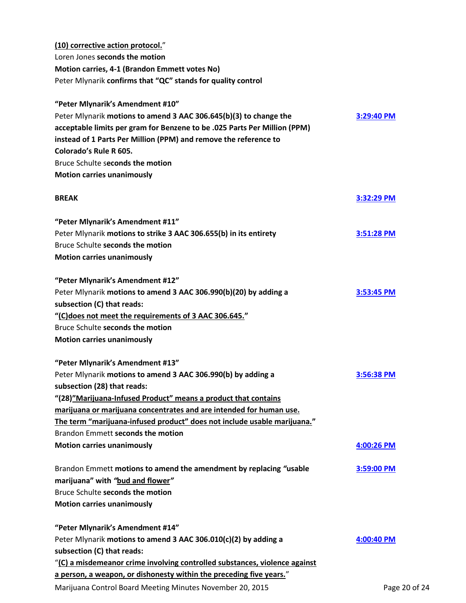| (10) corrective action protocol."                                          |              |
|----------------------------------------------------------------------------|--------------|
| Loren Jones seconds the motion                                             |              |
| Motion carries, 4-1 (Brandon Emmett votes No)                              |              |
| Peter Mlynarik confirms that "QC" stands for quality control               |              |
| "Peter Mlynarik's Amendment #10"                                           |              |
| Peter Mlynarik motions to amend 3 AAC 306.645(b)(3) to change the          | 3:29:40 PM   |
| acceptable limits per gram for Benzene to be .025 Parts Per Million (PPM)  |              |
| instead of 1 Parts Per Million (PPM) and remove the reference to           |              |
| Colorado's Rule R 605.                                                     |              |
| Bruce Schulte seconds the motion                                           |              |
| <b>Motion carries unanimously</b>                                          |              |
| <b>BREAK</b>                                                               | $3:32:29$ PM |
| "Peter Mlynarik's Amendment #11"                                           |              |
| Peter Mlynarik motions to strike 3 AAC 306.655(b) in its entirety          | 3:51:28 PM   |
| Bruce Schulte seconds the motion                                           |              |
| <b>Motion carries unanimously</b>                                          |              |
| "Peter Mlynarik's Amendment #12"                                           |              |
| Peter Mlynarik motions to amend 3 AAC 306.990(b)(20) by adding a           | 3:53:45 PM   |
| subsection (C) that reads:                                                 |              |
| "C) does not meet the requirements of 3 AAC 306.645."                      |              |
| Bruce Schulte seconds the motion                                           |              |
| <b>Motion carries unanimously</b>                                          |              |
| "Peter Mlynarik's Amendment #13"                                           |              |
| Peter Mlynarik motions to amend 3 AAC 306.990(b) by adding a               | 3:56:38 PM   |
| subsection (28) that reads:                                                |              |
| "(28)"Marijuana-Infused Product" means a product that contains             |              |
| marijuana or marijuana concentrates and are intended for human use.        |              |
| The term "marijuana-infused product" does not include usable marijuana."   |              |
| Brandon Emmett seconds the motion                                          |              |
| <b>Motion carries unanimously</b>                                          | 4:00:26 PM   |
| Brandon Emmett motions to amend the amendment by replacing "usable         | $3:59:00$ PM |
| marijuana" with "bud and flower"                                           |              |
| Bruce Schulte seconds the motion                                           |              |
| <b>Motion carries unanimously</b>                                          |              |
| "Peter Mlynarik's Amendment #14"                                           |              |
| Peter Mlynarik motions to amend 3 AAC 306.010(c)(2) by adding a            | 4:00:40 PM   |
| subsection (C) that reads:                                                 |              |
| "(C) a misdemeanor crime involving controlled substances, violence against |              |
| a person, a weapon, or dishonesty within the preceding five years."        |              |

Marijuana Control Board Meeting Minutes November 20, 2015 **Page 20 of 24** Page 20 of 24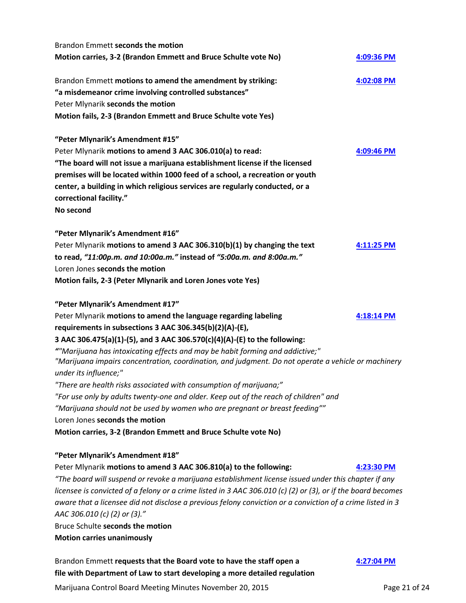| Brandon Emmett requests that the Board vote to have the staff open a                                         | 4:27:04 PM |
|--------------------------------------------------------------------------------------------------------------|------------|
| <b>Motion carries unanimously</b>                                                                            |            |
| Bruce Schulte seconds the motion                                                                             |            |
| AAC 306.010 (c) (2) or (3)."                                                                                 |            |
| aware that a licensee did not disclose a previous felony conviction or a conviction of a crime listed in 3   |            |
| licensee is convicted of a felony or a crime listed in 3 AAC 306.010 (c) (2) or (3), or if the board becomes |            |
| "The board will suspend or revoke a marijuana establishment license issued under this chapter if any         |            |
| Peter Mlynarik motions to amend 3 AAC 306.810(a) to the following:                                           | 4:23:30 PM |
| "Peter Mlynarik's Amendment #18"                                                                             |            |
| Motion carries, 3-2 (Brandon Emmett and Bruce Schulte vote No)                                               |            |
| Loren Jones seconds the motion                                                                               |            |
| "Marijuana should not be used by women who are pregnant or breast feeding""                                  |            |
| "For use only by adults twenty-one and older. Keep out of the reach of children" and                         |            |
| "There are health risks associated with consumption of marijuana;"                                           |            |
| under its influence;"                                                                                        |            |
| "Marijuana impairs concentration, coordination, and judgment. Do not operate a vehicle or machinery          |            |
| ""Marijuana has intoxicating effects and may be habit forming and addictive;"                                |            |
| 3 AAC 306.475(a)(1)-(5), and 3 AAC 306.570(c)(4)(A)-(E) to the following:                                    |            |
| requirements in subsections 3 AAC 306.345(b)(2)(A)-(E),                                                      |            |
| Peter Mlynarik motions to amend the language regarding labeling                                              | 4:18:14 PM |
| "Peter Mlynarik's Amendment #17"                                                                             |            |
| Motion fails, 2-3 (Peter Mlynarik and Loren Jones vote Yes)                                                  |            |
| Loren Jones seconds the motion                                                                               |            |
| to read, "11:00p.m. and 10:00a.m." instead of "5:00a.m. and 8:00a.m."                                        |            |
| Peter Mlynarik motions to amend 3 AAC 306.310(b)(1) by changing the text                                     | 4:11:25 PM |
| "Peter Mlynarik's Amendment #16"                                                                             |            |
|                                                                                                              |            |
| No second                                                                                                    |            |
| correctional facility."                                                                                      |            |
| center, a building in which religious services are regularly conducted, or a                                 |            |
| premises will be located within 1000 feed of a school, a recreation or youth                                 |            |
| "The board will not issue a marijuana establishment license if the licensed                                  |            |
| Peter Mlynarik motions to amend 3 AAC 306.010(a) to read:                                                    | 4:09:46 PM |
| "Peter Mlynarik's Amendment #15"                                                                             |            |
|                                                                                                              |            |
| Motion fails, 2-3 (Brandon Emmett and Bruce Schulte vote Yes)                                                |            |
| Peter Mlynarik seconds the motion                                                                            |            |
| "a misdemeanor crime involving controlled substances"                                                        |            |
| Brandon Emmett motions to amend the amendment by striking:                                                   | 4:02:08 PM |
|                                                                                                              |            |
| Motion carries, 3-2 (Brandon Emmett and Bruce Schulte vote No)                                               | 4:09:36 PM |
| Brandon Emmett seconds the motion                                                                            |            |

**file with Department of Law to start developing a more detailed regulation**

Marijuana Control Board Meeting Minutes November 20, 2015 **Page 21 of 24** Page 21 of 24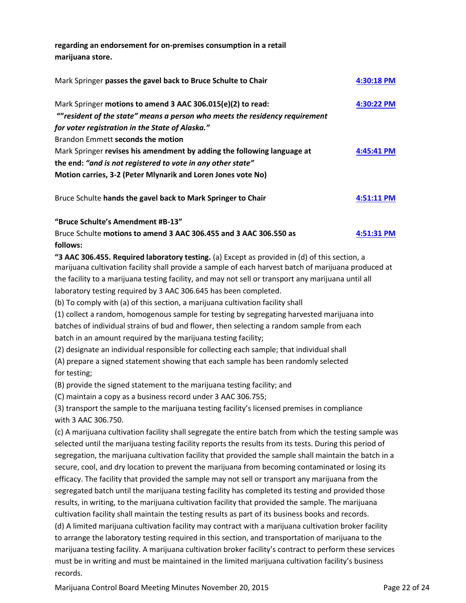**regarding an endorsement for on-premises consumption in a retail marijuana store.**

| Mark Springer passes the gavel back to Bruce Schulte to Chair                               | 4:30:18 PM |
|---------------------------------------------------------------------------------------------|------------|
| Mark Springer motions to amend 3 AAC 306.015(e)(2) to read:                                 | 4:30:22 PM |
| "" resident of the state" means a person who meets the residency requirement                |            |
| for voter registration in the State of Alaska."                                             |            |
| Brandon Emmett seconds the motion                                                           |            |
| Mark Springer revises his amendment by adding the following language at                     | 4:45:41 PM |
| the end: "and is not registered to vote in any other state"                                 |            |
| Motion carries, 3-2 (Peter Mlynarik and Loren Jones vote No)                                |            |
| Bruce Schulte hands the gavel back to Mark Springer to Chair                                | 4:51:11 PM |
| "Bruce Schulte's Amendment #B-13"                                                           |            |
| Bruce Schulte motions to amend 3 AAC 306.455 and 3 AAC 306.550 as                           | 4:51:31 PM |
| follows:                                                                                    |            |
| "3 AAC 306 A55. Required laboratory testing (a) Except as provided in (d) of this section a |            |

**"3 AAC 306.455. Required laboratory testing.** (a) Except as provided in (d) of this section, a marijuana cultivation facility shall provide a sample of each harvest batch of marijuana produced at the facility to a marijuana testing facility, and may not sell or transport any marijuana until all laboratory testing required by 3 AAC 306.645 has been completed.

(b) To comply with (a) of this section, a marijuana cultivation facility shall

(1) collect a random, homogenous sample for testing by segregating harvested marijuana into batches of individual strains of bud and flower, then selecting a random sample from each batch in an amount required by the marijuana testing facility;

(2) designate an individual responsible for collecting each sample; that individual shall

(A) prepare a signed statement showing that each sample has been randomly selected for testing;

(B) provide the signed statement to the marijuana testing facility; and

(C) maintain a copy as a business record under 3 AAC 306.755;

(3) transport the sample to the marijuana testing facility's licensed premises in compliance with 3 AAC 306.750.

(c) A marijuana cultivation facility shall segregate the entire batch from which the testing sample was selected until the marijuana testing facility reports the results from its tests. During this period of segregation, the marijuana cultivation facility that provided the sample shall maintain the batch in a secure, cool, and dry location to prevent the marijuana from becoming contaminated or losing its efficacy. The facility that provided the sample may not sell or transport any marijuana from the segregated batch until the marijuana testing facility has completed its testing and provided those results, in writing, to the marijuana cultivation facility that provided the sample. The marijuana cultivation facility shall maintain the testing results as part of its business books and records. (d) A limited marijuana cultivation facility may contract with a marijuana cultivation broker facility to arrange the laboratory testing required in this section, and transportation of marijuana to the marijuana testing facility. A marijuana cultivation broker facility's contract to perform these services must be in writing and must be maintained in the limited marijuana cultivation facility's business records.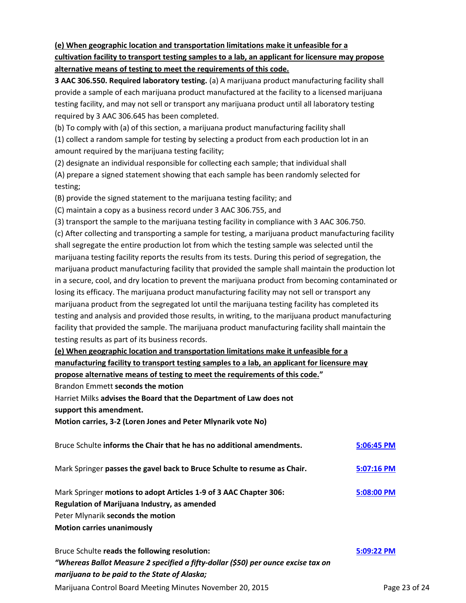# **(e) When geographic location and transportation limitations make it unfeasible for a cultivation facility to transport testing samples to a lab, an applicant for licensure may propose alternative means of testing to meet the requirements of this code.**

**3 AAC 306.550. Required laboratory testing.** (a) A marijuana product manufacturing facility shall provide a sample of each marijuana product manufactured at the facility to a licensed marijuana testing facility, and may not sell or transport any marijuana product until all laboratory testing required by 3 AAC 306.645 has been completed.

(b) To comply with (a) of this section, a marijuana product manufacturing facility shall

(1) collect a random sample for testing by selecting a product from each production lot in an amount required by the marijuana testing facility;

(2) designate an individual responsible for collecting each sample; that individual shall

(A) prepare a signed statement showing that each sample has been randomly selected for testing;

(B) provide the signed statement to the marijuana testing facility; and

(C) maintain a copy as a business record under 3 AAC 306.755, and

(3) transport the sample to the marijuana testing facility in compliance with 3 AAC 306.750.

(c) After collecting and transporting a sample for testing, a marijuana product manufacturing facility shall segregate the entire production lot from which the testing sample was selected until the marijuana testing facility reports the results from its tests. During this period of segregation, the marijuana product manufacturing facility that provided the sample shall maintain the production lot in a secure, cool, and dry location to prevent the marijuana product from becoming contaminated or losing its efficacy. The marijuana product manufacturing facility may not sell or transport any marijuana product from the segregated lot until the marijuana testing facility has completed its testing and analysis and provided those results, in writing, to the marijuana product manufacturing facility that provided the sample. The marijuana product manufacturing facility shall maintain the testing results as part of its business records.

# **(e) When geographic location and transportation limitations make it unfeasible for a manufacturing facility to transport testing samples to a lab, an applicant for licensure may**

**propose alternative means of testing to meet the requirements of this code."**

Brandon Emmett **seconds the motion**

Harriet Milks **advises the Board that the Department of Law does not**

**support this amendment.**

**Motion carries, 3-2 (Loren Jones and Peter Mlynarik vote No)**

| Bruce Schulte informs the Chair that he has no additional amendments.                                                                                                                       | 5:06:45 PM |
|---------------------------------------------------------------------------------------------------------------------------------------------------------------------------------------------|------------|
| Mark Springer passes the gavel back to Bruce Schulte to resume as Chair.                                                                                                                    | 5:07:16 PM |
| Mark Springer motions to adopt Articles 1-9 of 3 AAC Chapter 306:<br>Regulation of Marijuana Industry, as amended<br>Peter Mlynarik seconds the motion<br><b>Motion carries unanimously</b> | 5:08:00 PM |

Marijuana Control Board Meeting Minutes November 20, 2015 **Page 23 of 24** Page 23 of 24 Bruce Schulte **reads the following resolution: [5:09:22 PM](ftr://?location="ABC Board"?date="20-Nov-2015"?position="17:09:22"?Data="7cff8044")** *"Whereas Ballot Measure 2 specified a fifty-dollar (\$50) per ounce excise tax on marijuana to be paid to the State of Alaska;*